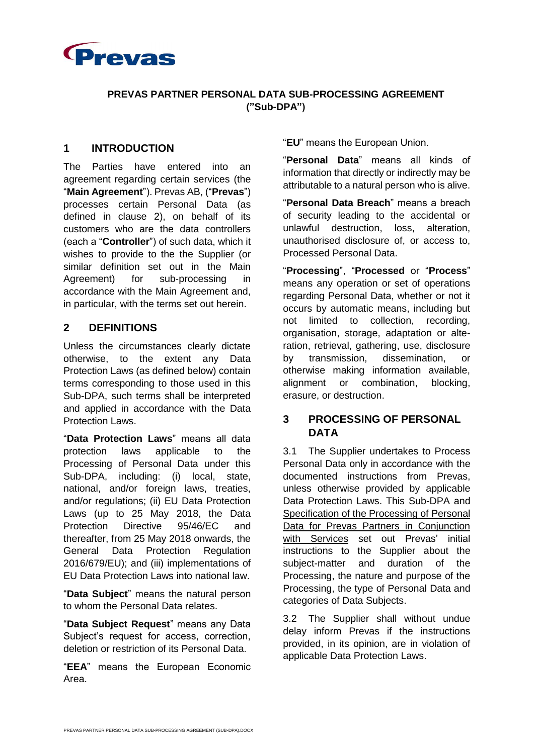

#### **PREVAS PARTNER PERSONAL DATA SUB-PROCESSING AGREEMENT ("Sub-DPA")**

#### **1 INTRODUCTION**

The Parties have entered into an agreement regarding certain services (the "**Main Agreement**"). Prevas AB, ("**Prevas**") processes certain Personal Data (as defined in clause 2), on behalf of its customers who are the data controllers (each a "**Controller**") of such data, which it wishes to provide to the the Supplier (or similar definition set out in the Main Agreement) for sub-processing in accordance with the Main Agreement and, in particular, with the terms set out herein.

### **2 DEFINITIONS**

Unless the circumstances clearly dictate otherwise, to the extent any Data Protection Laws (as defined below) contain terms corresponding to those used in this Sub-DPA, such terms shall be interpreted and applied in accordance with the Data Protection Laws.

"**Data Protection Laws**" means all data protection laws applicable to the Processing of Personal Data under this Sub-DPA, including: (i) local, state, national, and/or foreign laws, treaties, and/or regulations; (ii) EU Data Protection Laws (up to 25 May 2018, the Data Protection Directive 95/46/EC and thereafter, from 25 May 2018 onwards, the General Data Protection Regulation 2016/679/EU); and (iii) implementations of EU Data Protection Laws into national law.

"**Data Subject**" means the natural person to whom the Personal Data relates.

"**Data Subject Request**" means any Data Subject's request for access, correction, deletion or restriction of its Personal Data.

"**EEA**" means the European Economic Area.

"**EU**" means the European Union.

"**Personal Data**" means all kinds of information that directly or indirectly may be attributable to a natural person who is alive.

"**Personal Data Breach**" means a breach of security leading to the accidental or unlawful destruction, loss, alteration, unauthorised disclosure of, or access to, Processed Personal Data.

"**Processing**", "**Processed** or "**Process**" means any operation or set of operations regarding Personal Data, whether or not it occurs by automatic means, including but not limited to collection, recording, organisation, storage, adaptation or alteration, retrieval, gathering, use, disclosure by transmission, dissemination, or otherwise making information available, alignment or combination, blocking, erasure, or destruction.

### **3 PROCESSING OF PERSONAL DATA**

3.1 The Supplier undertakes to Process Personal Data only in accordance with the documented instructions from Prevas, unless otherwise provided by applicable Data Protection Laws. This Sub-DPA and Specification of the Processing of Personal Data for Prevas Partners in Conjunction with Services set out Prevas' initial instructions to the Supplier about the subject-matter and duration of the Processing, the nature and purpose of the Processing, the type of Personal Data and categories of Data Subjects.

3.2 The Supplier shall without undue delay inform Prevas if the instructions provided, in its opinion, are in violation of applicable Data Protection Laws.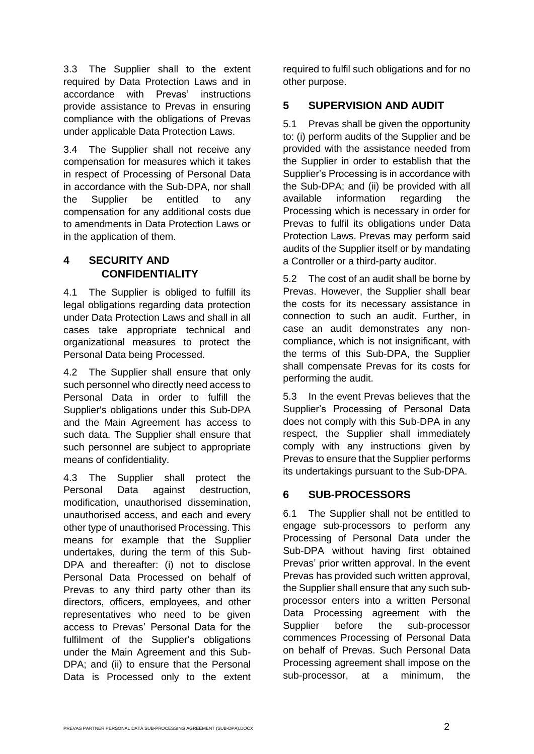3.3 The Supplier shall to the extent required by Data Protection Laws and in accordance with Prevas' instructions provide assistance to Prevas in ensuring compliance with the obligations of Prevas under applicable Data Protection Laws.

3.4 The Supplier shall not receive any compensation for measures which it takes in respect of Processing of Personal Data in accordance with the Sub-DPA, nor shall the Supplier be entitled to any compensation for any additional costs due to amendments in Data Protection Laws or in the application of them.

## **4 SECURITY AND CONFIDENTIALITY**

4.1 The Supplier is obliged to fulfill its legal obligations regarding data protection under Data Protection Laws and shall in all cases take appropriate technical and organizational measures to protect the Personal Data being Processed.

4.2 The Supplier shall ensure that only such personnel who directly need access to Personal Data in order to fulfill the Supplier's obligations under this Sub-DPA and the Main Agreement has access to such data. The Supplier shall ensure that such personnel are subject to appropriate means of confidentiality.

4.3 The Supplier shall protect the Personal Data against destruction, modification, unauthorised dissemination, unauthorised access, and each and every other type of unauthorised Processing. This means for example that the Supplier undertakes, during the term of this Sub-DPA and thereafter: (i) not to disclose Personal Data Processed on behalf of Prevas to any third party other than its directors, officers, employees, and other representatives who need to be given access to Prevas' Personal Data for the fulfilment of the Supplier's obligations under the Main Agreement and this Sub-DPA; and (ii) to ensure that the Personal Data is Processed only to the extent required to fulfil such obligations and for no other purpose.

# **5 SUPERVISION AND AUDIT**

5.1 Prevas shall be given the opportunity to: (i) perform audits of the Supplier and be provided with the assistance needed from the Supplier in order to establish that the Supplier's Processing is in accordance with the Sub-DPA; and (ii) be provided with all available information regarding the Processing which is necessary in order for Prevas to fulfil its obligations under Data Protection Laws. Prevas may perform said audits of the Supplier itself or by mandating a Controller or a third-party auditor.

5.2 The cost of an audit shall be borne by Prevas. However, the Supplier shall bear the costs for its necessary assistance in connection to such an audit. Further, in case an audit demonstrates any noncompliance, which is not insignificant, with the terms of this Sub-DPA, the Supplier shall compensate Prevas for its costs for performing the audit.

5.3 In the event Prevas believes that the Supplier's Processing of Personal Data does not comply with this Sub-DPA in any respect, the Supplier shall immediately comply with any instructions given by Prevas to ensure that the Supplier performs its undertakings pursuant to the Sub-DPA.

# **6 SUB-PROCESSORS**

6.1 The Supplier shall not be entitled to engage sub-processors to perform any Processing of Personal Data under the Sub-DPA without having first obtained Prevas' prior written approval. In the event Prevas has provided such written approval, the Supplier shall ensure that any such subprocessor enters into a written Personal Data Processing agreement with the Supplier before the sub-processor commences Processing of Personal Data on behalf of Prevas. Such Personal Data Processing agreement shall impose on the sub-processor, at a minimum, the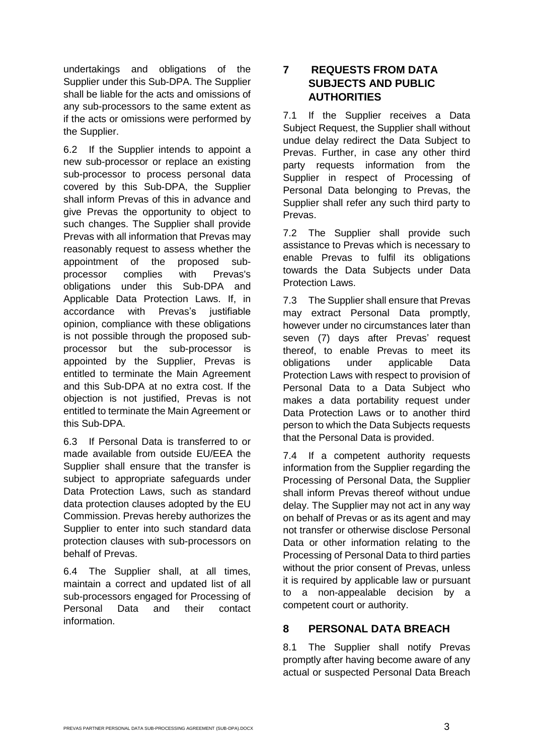undertakings and obligations of the Supplier under this Sub-DPA. The Supplier shall be liable for the acts and omissions of any sub-processors to the same extent as if the acts or omissions were performed by the Supplier.

6.2 If the Supplier intends to appoint a new sub-processor or replace an existing sub-processor to process personal data covered by this Sub-DPA, the Supplier shall inform Prevas of this in advance and give Prevas the opportunity to object to such changes. The Supplier shall provide Prevas with all information that Prevas may reasonably request to assess whether the appointment of the proposed subprocessor complies with Prevas's obligations under this Sub-DPA and Applicable Data Protection Laws. If, in accordance with Prevas's justifiable opinion, compliance with these obligations is not possible through the proposed subprocessor but the sub-processor is appointed by the Supplier, Prevas is entitled to terminate the Main Agreement and this Sub-DPA at no extra cost. If the objection is not justified, Prevas is not entitled to terminate the Main Agreement or this Sub-DPA.

6.3 If Personal Data is transferred to or made available from outside EU/EEA the Supplier shall ensure that the transfer is subject to appropriate safeguards under Data Protection Laws, such as standard data protection clauses adopted by the EU Commission. Prevas hereby authorizes the Supplier to enter into such standard data protection clauses with sub-processors on behalf of Prevas.

6.4 The Supplier shall, at all times, maintain a correct and updated list of all sub-processors engaged for Processing of Personal Data and their contact information.

## **7 REQUESTS FROM DATA SUBJECTS AND PUBLIC AUTHORITIES**

7.1 If the Supplier receives a Data Subject Request, the Supplier shall without undue delay redirect the Data Subject to Prevas. Further, in case any other third party requests information from the Supplier in respect of Processing of Personal Data belonging to Prevas, the Supplier shall refer any such third party to Prevas.

7.2 The Supplier shall provide such assistance to Prevas which is necessary to enable Prevas to fulfil its obligations towards the Data Subjects under Data Protection Laws.

7.3 The Supplier shall ensure that Prevas may extract Personal Data promptly, however under no circumstances later than seven (7) days after Prevas' request thereof, to enable Prevas to meet its obligations under applicable Data Protection Laws with respect to provision of Personal Data to a Data Subject who makes a data portability request under Data Protection Laws or to another third person to which the Data Subjects requests that the Personal Data is provided.

7.4 If a competent authority requests information from the Supplier regarding the Processing of Personal Data, the Supplier shall inform Prevas thereof without undue delay. The Supplier may not act in any way on behalf of Prevas or as its agent and may not transfer or otherwise disclose Personal Data or other information relating to the Processing of Personal Data to third parties without the prior consent of Prevas, unless it is required by applicable law or pursuant to a non-appealable decision by a competent court or authority.

## **8 PERSONAL DATA BREACH**

8.1 The Supplier shall notify Prevas promptly after having become aware of any actual or suspected Personal Data Breach